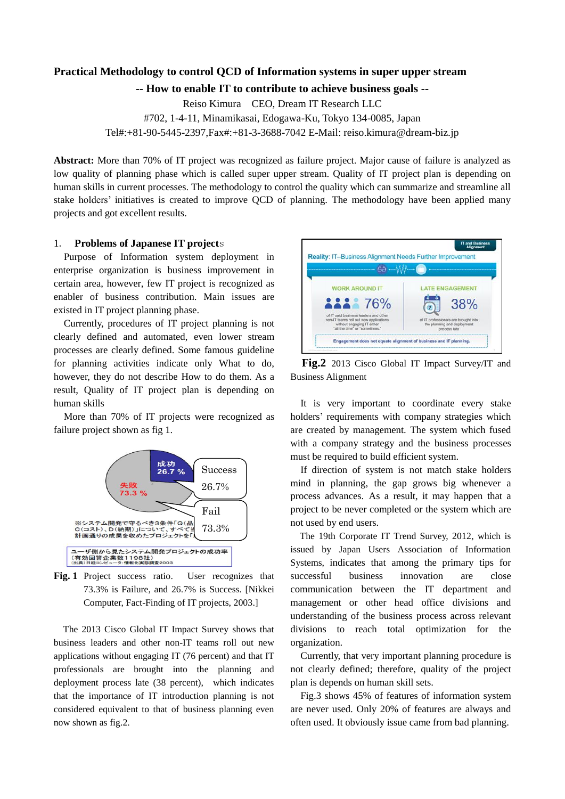# **Practical Methodology to control QCD of Information systems in super upper stream**

**-- How to enable IT to contribute to achieve business goals --**

Reiso Kimura CEO, Dream IT Research LLC #702, 1-4-11, Minamikasai, Edogawa-Ku, Tokyo 134-0085, Japan Tel#:+81-90-5445-2397,Fax#:+81-3-3688-7042 E-Mail: reiso.kimura@dream-biz.jp

**Abstract:** More than 70% of IT project was recognized as failure project. Major cause of failure is analyzed as low quality of planning phase which is called super upper stream. Quality of IT project plan is depending on human skills in current processes. The methodology to control the quality which can summarize and streamline all stake holders' initiatives is created to improve QCD of planning. The methodology have been applied many projects and got excellent results.

## 1. **Problems of Japanese IT project**s

Purpose of Information system deployment in enterprise organization is business improvement in certain area, however, few IT project is recognized as enabler of business contribution. Main issues are existed in IT project planning phase.

Currently, procedures of IT project planning is not clearly defined and automated, even lower stream processes are clearly defined. Some famous guideline for planning activities indicate only What to do, however, they do not describe How to do them. As a result, Quality of IT project plan is depending on human skills

More than 70% of IT projects were recognized as failure project shown as fig 1.



**Fig. 1** Project success ratio. User recognizes that 73.3% is Failure, and 26.7% is Success. [Nikkei Computer, Fact-Finding of IT projects, 2003.]

The 2013 Cisco Global IT Impact Survey shows that business leaders and other non-IT teams roll out new applications without engaging IT (76 percent) and that IT professionals are brought into the planning and deployment process late (38 percent), which indicates that the importance of IT introduction planning is not considered equivalent to that of business planning even now shown as fig.2.



**Fig.2** 2013 Cisco Global IT Impact Survey/IT and Business Alignment

It is very important to coordinate every stake holders' requirements with company strategies which are created by management. The system which fused with a company strategy and the business processes must be required to build efficient system.

If direction of system is not match stake holders mind in planning, the gap grows big whenever a process advances. As a result, it may happen that a project to be never completed or the system which are not used by end users.

The 19th Corporate IT Trend Survey, 2012, which is issued by Japan Users Association of Information Systems, indicates that among the primary tips for successful business innovation are close communication between the IT department and management or other head office divisions and understanding of the business process across relevant divisions to reach total optimization for the organization.

Currently, that very important planning procedure is not clearly defined; therefore, quality of the project plan is depends on human skill sets.

Fig.3 shows 45% of features of information system are never used. Only 20% of features are always and often used. It obviously issue came from bad planning.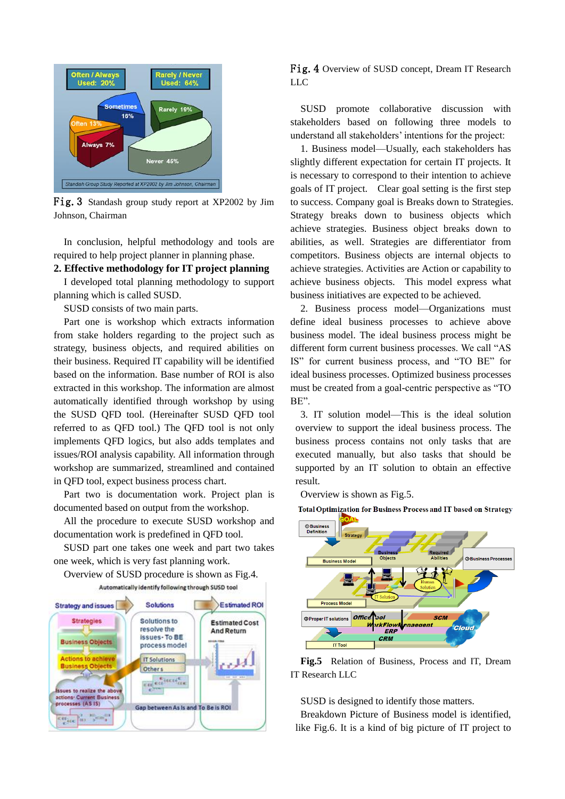

Fig.3 Standash group study report at XP2002 by Jim Johnson, Chairman

In conclusion, helpful methodology and tools are required to help project planner in planning phase.

#### **2. Effective methodology for IT project planning**

I developed total planning methodology to support planning which is called SUSD.

SUSD consists of two main parts.

Part one is workshop which extracts information from stake holders regarding to the project such as strategy, business objects, and required abilities on their business. Required IT capability will be identified based on the information. Base number of ROI is also extracted in this workshop. The information are almost automatically identified through workshop by using the SUSD QFD tool. (Hereinafter SUSD QFD tool referred to as QFD tool.) The QFD tool is not only implements QFD logics, but also adds templates and issues/ROI analysis capability. All information through workshop are summarized, streamlined and contained in QFD tool, expect business process chart.

Part two is documentation work. Project plan is documented based on output from the workshop.

All the procedure to execute SUSD workshop and documentation work is predefined in QFD tool.

SUSD part one takes one week and part two takes one week, which is very fast planning work.

Overview of SUSD procedure is shown as Fig.4. Automatically identify following through SUSD tool



Fig.4 Overview of SUSD concept, Dream IT Research LLC

SUSD promote collaborative discussion with stakeholders based on following three models to understand all stakeholders' intentions for the project:

1. Business model—Usually, each stakeholders has slightly different expectation for certain IT projects. It is necessary to correspond to their intention to achieve goals of IT project. Clear goal setting is the first step to success. Company goal is Breaks down to Strategies. Strategy breaks down to business objects which achieve strategies. Business object breaks down to abilities, as well. Strategies are differentiator from competitors. Business objects are internal objects to achieve strategies. Activities are Action or capability to achieve business objects. This model express what business initiatives are expected to be achieved.

2. Business process model—Organizations must define ideal business processes to achieve above business model. The ideal business process might be different form current business processes. We call "AS IS" for current business process, and "TO BE" for ideal business processes. Optimized business processes must be created from a goal-centric perspective as "TO BE".

3. IT solution model—This is the ideal solution overview to support the ideal business process. The business process contains not only tasks that are executed manually, but also tasks that should be supported by an IT solution to obtain an effective result.

Overview is shown as Fig.5.

Total Optimization for Business Process and IT based on Strategy



**Fig.5** Relation of Business, Process and IT, Dream IT Research LLC

SUSD is designed to identify those matters.

Breakdown Picture of Business model is identified, like Fig.6. It is a kind of big picture of IT project to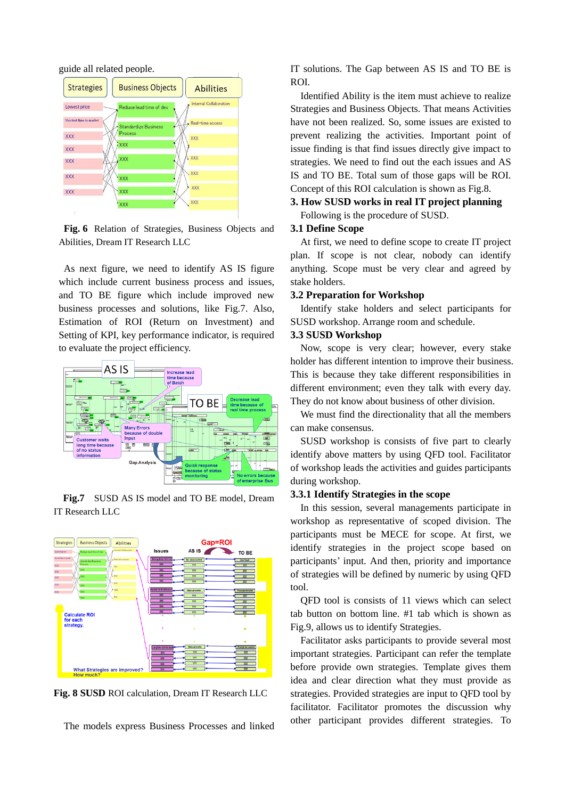guide all related people.



**Fig. 6** Relation of Strategies, Business Objects and Abilities, Dream IT Research LLC

As next figure, we need to identify AS IS figure which include current business process and issues, and TO BE figure which include improved new business processes and solutions, like Fig.7. Also, Estimation of ROI (Return on Investment) and Setting of KPI, key performance indicator, is required to evaluate the project efficiency.



**Fig.7** SUSD AS IS model and TO BE model, Dream IT Research LLC



**Fig. 8 SUSD** ROI calculation, Dream IT Research LLC

The models express Business Processes and linked

IT solutions. The Gap between AS IS and TO BE is ROI.

Identified Ability is the item must achieve to realize Strategies and Business Objects. That means Activities have not been realized. So, some issues are existed to prevent realizing the activities. Important point of issue finding is that find issues directly give impact to strategies. We need to find out the each issues and AS IS and TO BE. Total sum of those gaps will be ROI. Concept of this ROI calculation is shown as Fig.8.

# **3. How SUSD works in real IT project planning** Following is the procedure of SUSD.

#### **3.1 Define Scope**

At first, we need to define scope to create IT project plan. If scope is not clear, nobody can identify anything. Scope must be very clear and agreed by stake holders.

## **3.2 Preparation for Workshop**

Identify stake holders and select participants for SUSD workshop. Arrange room and schedule.

#### **3.3 SUSD Workshop**

Now, scope is very clear; however, every stake holder has different intention to improve their business. This is because they take different responsibilities in different environment; even they talk with every day. They do not know about business of other division.

We must find the directionality that all the members can make consensus.

SUSD workshop is consists of five part to clearly identify above matters by using QFD tool. Facilitator of workshop leads the activities and guides participants during workshop.

### **3.3.1 Identify Strategies in the scope**

In this session, several managements participate in workshop as representative of scoped division. The participants must be MECE for scope. At first, we identify strategies in the project scope based on participants' input. And then, priority and importance of strategies will be defined by numeric by using QFD tool.

QFD tool is consists of 11 views which can select tab button on bottom line. #1 tab which is shown as Fig.9, allows us to identify Strategies.

Facilitator asks participants to provide several most important strategies. Participant can refer the template before provide own strategies. Template gives them idea and clear direction what they must provide as strategies. Provided strategies are input to QFD tool by facilitator. Facilitator promotes the discussion why other participant provides different strategies. To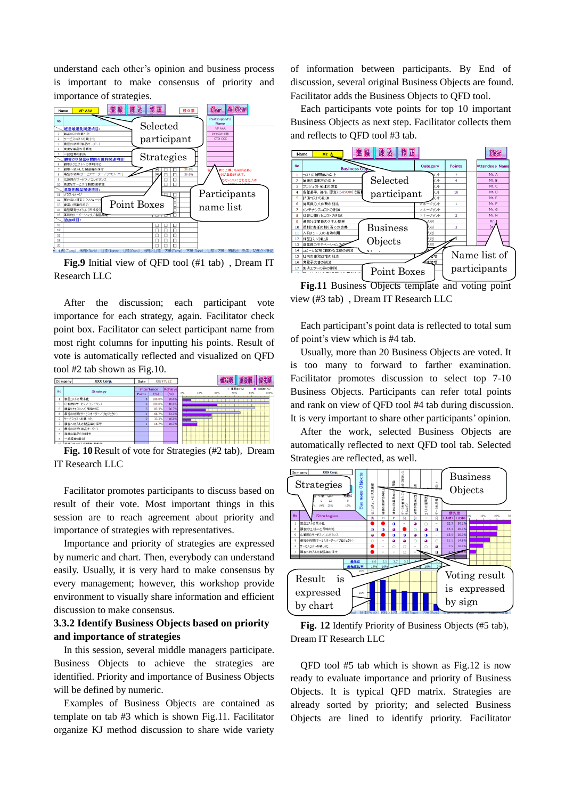understand each other's opinion and business process is important to make consensus of priority and importance of strategies.



**Fig.9** Initial view of QFD tool (#1 tab) , Dream IT Research LLC

After the discussion; each participant vote importance for each strategy, again. Facilitator check point box. Facilitator can select participant name from most right columns for inputting his points. Result of vote is automatically reflected and visualized on QFD tool #2 tab shown as Fig.10.

| Company       | XXX Corp.              | Date       |        | XX/YY/ZZ       |           |     | 番号顺           |     | 優先順      |
|---------------|------------------------|------------|--------|----------------|-----------|-----|---------------|-----|----------|
| <b>No</b>     | <b>Strategy</b>        | importance |        | <b>Achieve</b> |           |     | <b>亚面皮(%)</b> |     | ■ 遠后度(%) |
|               |                        | Points     | (%)    | (96)           | 0%<br>20% | 40% | 60%           | 80% | 100%     |
|               | 製品コストの最小化              |            | 100.0% | 10.0%          |           |     |               |     |          |
| 9             | 広範囲のサービス/コンピタンス        | 6          | 100.0% | 40.0%          |           |     |               |     |          |
| 6             | 顧客リクエストへの即時対応          |            | 83.3%  | 26.7%          |           |     |               |     |          |
| 8             | 最短の納期(サービスオーダー/ブロジェクト) |            | 66.7%  | 33.3%          |           |     |               |     |          |
| 2             | サービスコストの最小化            |            | 33.3%  | 10.0%          | --        |     |               |     |          |
| ٠             | 顧客へ納入した製品番の保守          |            | 16.7%  | 16.7%          |           |     |               |     |          |
| 3             | 最短の納期(製品オーダー)          |            |        |                |           |     |               |     |          |
| 4             | 高度な製品の信頼性              |            |        |                |           |     |               |     |          |
| 5             | 一般経費の削減                |            |        |                |           |     |               |     |          |
| $\sim$ $\sim$ | 実現れ共に切り信頼度を新作          |            |        |                |           |     |               |     |          |

**Fig. 10**Result of vote for Strategies (#2 tab), Dream IT Research LLC

Facilitator promotes participants to discuss based on result of their vote. Most important things in this session are to reach agreement about priority and importance of strategies with representatives.

Importance and priority of strategies are expressed by numeric and chart. Then, everybody can understand easily. Usually, it is very hard to make consensus by every management; however, this workshop provide environment to visually share information and efficient discussion to make consensus.

# **3.3.2 Identify Business Objects based on priority and importance of strategies**

In this session, several middle managers participate. Business Objects to achieve the strategies are identified. Priority and importance of Business Objects will be defined by numeric.

Examples of Business Objects are contained as template on tab #3 which is shown Fig.11. Facilitator organize KJ method discussion to share wide variety of information between participants. By End of discussion, several original Business Objects are found. Facilitator adds the Business Objects to QFD tool.

Each participants vote points for top 10 important Business Objects as next step. Facilitator collects them and reflects to QFD tool #3 tab.



**Fig.11** Business Objects template and voting point view (#3 tab) , Dream IT Research LLC

Each participant's point data is reflected to total sum of point's view which is #4 tab.

Usually, more than 20 Business Objects are voted. It is too many to forward to farther examination. Facilitator promotes discussion to select top 7-10 Business Objects. Participants can refer total points and rank on view of QFD tool #4 tab during discussion. It is very important to share other participants' opinion.

After the work, selected Business Objects are automatically reflected to next QFD tool tab. Selected Strategies are reflected, as well.



**Fig. 12** Identify Priority of Business Objects (#5 tab), Dream IT Research LLC

QFD tool #5 tab which is shown as Fig.12 is now ready to evaluate importance and priority of Business Objects. It is typical QFD matrix. Strategies are already sorted by priority; and selected Business Objects are lined to identify priority. Facilitator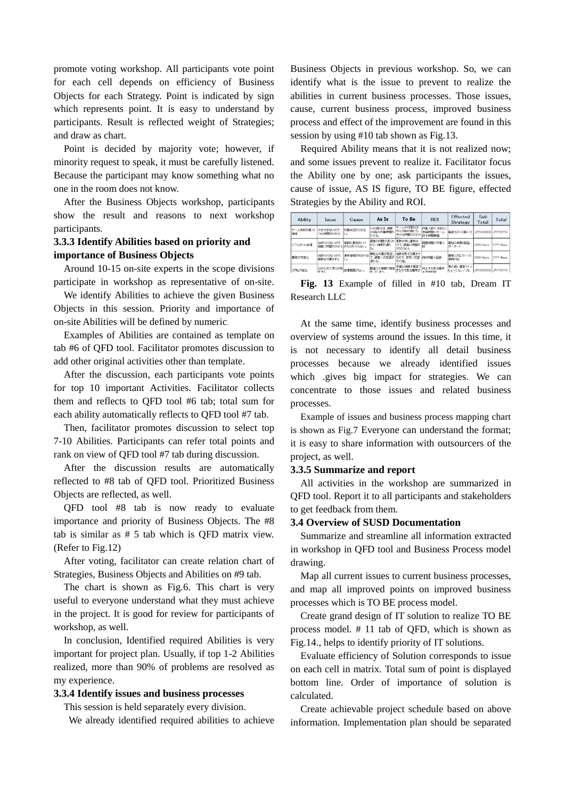promote voting workshop. All participants vote point for each cell depends on efficiency of Business Objects for each Strategy. Point is indicated by sign which represents point. It is easy to understand by participants. Result is reflected weight of Strategies; and draw as chart.

Point is decided by majority vote; however, if minority request to speak, it must be carefully listened. Because the participant may know something what no one in the room does not know.

After the Business Objects workshop, participants show the result and reasons to next workshop participants.

# **3.3.3 Identify Abilities based on priority and importance of Business Objects**

Around 10-15 on-site experts in the scope divisions participate in workshop as representative of on-site.

We identify Abilities to achieve the given Business Objects in this session. Priority and importance of on-site Abilities will be defined by numeric.

Examples of Abilities are contained as template on tab #6 of QFD tool. Facilitator promotes discussion to add other original activities other than template.

After the discussion, each participants vote points for top 10 important Activities. Facilitator collects them and reflects to QFD tool #6 tab; total sum for each ability automatically reflects to QFD tool #7 tab.

Then, facilitator promotes discussion to select top 7-10 Abilities. Participants can refer total points and rank on view of QFD tool #7 tab during discussion.

After the discussion results are automatically reflected to #8 tab of QFD tool. Prioritized Business Objects are reflected, as well.

QFD tool #8 tab is now ready to evaluate importance and priority of Business Objects. The #8 tab is similar as # 5 tab which is QFD matrix view. (Refer to Fig.12)

After voting, facilitator can create relation chart of Strategies, Business Objects and Abilities on #9 tab.

The chart is shown as Fig.6. This chart is very useful to everyone understand what they must achieve in the project. It is good for review for participants of workshop, as well.

In conclusion, Identified required Abilities is very important for project plan. Usually, if top 1-2 Abilities realized, more than 90% of problems are resolved as my experience.

# **3.3.4 Identify issues and business processes**

This session is held separately every division.

We already identified required abilities to achieve

Business Objects in previous workshop. So, we can identify what is the issue to prevent to realize the abilities in current business processes. Those issues, cause, current business process, improved business process and effect of the improvement are found in this session by using #10 tab shown as Fig.13.

Required Ability means that it is not realized now; and some issues prevent to realize it. Facilitator focus the Ability one by one; ask participants the issues, cause of issue, AS IS figure, TO BE figure, effected Strategies by the Ability and ROI.

| Ability        | <b>Issue</b>                        | Cause             | As Is                               | To Be                                       | <b>ROI</b>            | Effected<br>Strategy   | Sub<br>Total       | Total      |
|----------------|-------------------------------------|-------------------|-------------------------------------|---------------------------------------------|-----------------------|------------------------|--------------------|------------|
| チーム共同作業の<br>推進 | XXができないので、<br>YYに時間がかかる             | 作業状況が分らな<br>ILΔ   | NNの際には、通常<br>の3倍の作業時間が<br>かかる。      | チームの作業状況<br>が分りNNの際にも<br>(余分な時間がかから)統 ×時間単価 | 作業人数×月あたり<br>短縮結盟×チーム | 製品コストの最小化              | JPYXXXXXXX         | . IPYWYWY  |
| リアルタイム処理       | AAが分らないので、<br> 調査に時間がかかる  のものか分らない。 | 情報の更新がいつ          | 調査の時間が長くか<br>かり、納明が遅れ<br><b>CON</b> | 更新が常に最新な<br>ので、運搬に時間が<br>とられない。             | 調査時間×作業人              | 最短の納明(製品<br>オーダー〉      | <b>XXXX Hours</b>  | YYYY Hours |
| 業務の可視化         | BBが分らないので、<br>無駄な作業をする              | 進捗情報がわからな<br>Il W | 無駄な作業が変生し<br>運れる。                   | 進扬を見て作業をす<br>〔、鶴客への応答が るので、索早い応答<br>が可能。    | 待ち時間 x 回避             | 鞘客リクエストへの<br>周囲森対応     | <b>1000C Hours</b> | YYYY Hours |
| プロセス統合         | 「ZZのためて戻りが発」。<br>生する                |                   | 間違えた情報で提案<br>※1.71.まう。              | 正確な情報で提案で<br>きろので受注確率が                      | 向上する受注確率<br>ェ平也利益     | 質の高い提案力でノ<br>リューション/ブレ | JPYXXXXXXX         | JPYYYYYYY  |

**Fig. 13** Example of filled in #10 tab, Dream IT Research LLC

At the same time, identify business processes and overview of systems around the issues. In this time, it is not necessary to identify all detail business processes because we already identified issues which .gives big impact for strategies. We can concentrate to those issues and related business processes.

Example of issues and business process mapping chart is shown as Fig.7 Everyone can understand the format; it is easy to share information with outsourcers of the project, as well.

# **3.3.5 Summarize and report**

All activities in the workshop are summarized in QFD tool. Report it to all participants and stakeholders to get feedback from them.

### **3.4 Overview of SUSD Documentation**

Summarize and streamline all information extracted in workshop in QFD tool and Business Process model drawing.

Map all current issues to current business processes, and map all improved points on improved business processes which is TO BE process model.

Create grand design of IT solution to realize TO BE process model. # 11 tab of QFD, which is shown as Fig.14., helps to identify priority of IT solutions.

Evaluate efficiency of Solution corresponds to issue on each cell in matrix. Total sum of point is displayed bottom line. Order of importance of solution is calculated.

Create achievable project schedule based on above information. Implementation plan should be separated